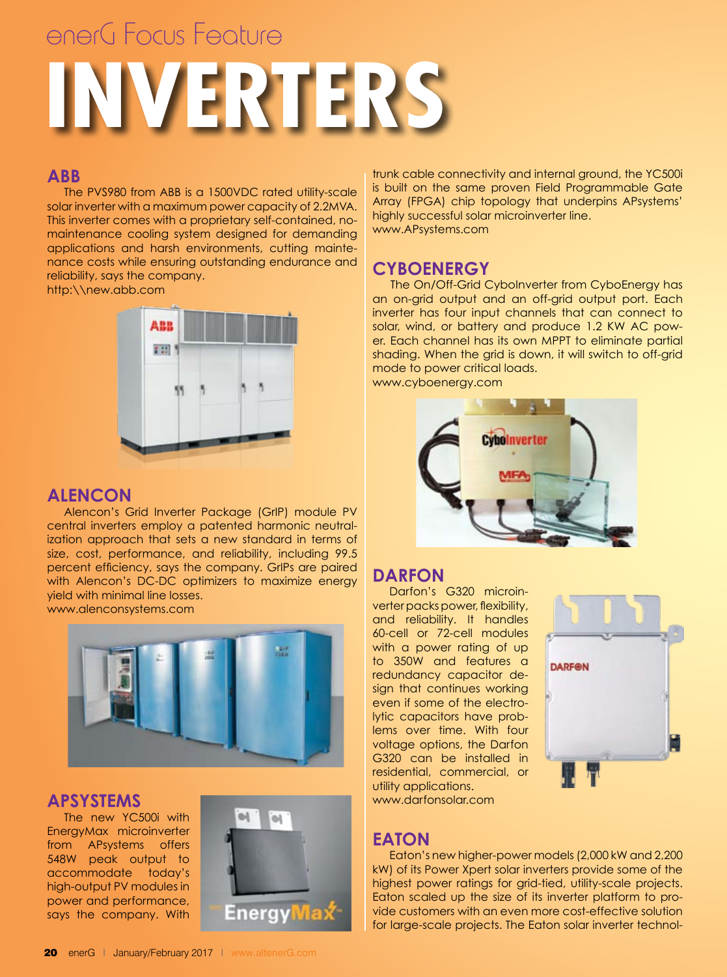# **INVERTERS** enerG Focus Feature

# **ABB**

The PVS980 from ABB is a 1500VDC rated utility-scale solar inverter with a maximum power capacity of 2.2MVA. This inverter comes with a proprietary self-contained, nomaintenance cooling system designed for demanding applications and harsh environments, cutting maintenance costs while ensuring outstanding endurance and reliability, says the company.

http:\\new.abb.com



## **Alencon**

Alencon's Grid Inverter Package (GrIP) module PV central inverters employ a patented harmonic neutralization approach that sets a new standard in terms of size, cost, performance, and reliability, including 99.5 percent efficiency, says the company. GrIPs are paired with Alencon's DC-DC optimizers to maximize energy yield with minimal line losses.

www.alenconsystems.com



### **APsystems**

The new YC500i with EnergyMax microinverter from APsystems offers 548W peak output to accommodate today's high-output PV modules in power and performance, says the company. With



trunk cable connectivity and internal ground, the YC500i is built on the same proven Field Programmable Gate Array (FPGA) chip topology that underpins APsystems' highly successful solar microinverter line. www.APsystems.com

# **CyboEnergy**

 The On/Off-Grid CyboInverter from CyboEnergy has an on-grid output and an off-grid output port. Each inverter has four input channels that can connect to solar, wind, or battery and produce 1.2 KW AC power. Each channel has its own MPPT to eliminate partial shading. When the grid is down, it will switch to off-grid mode to power critical loads. www.cyboenergy.com



# **Darfon**

Darfon's G320 microinverter packs power, flexibility, and reliability. It handles 60-cell or 72-cell modules with a power rating of up to 350W and features a redundancy capacitor design that continues working even if some of the electrolytic capacitors have problems over time. With four voltage options, the Darfon G320 can be installed in residential, commercial, or utility applications.



www.darfonsolar.com

# **Eaton**

Eaton's new higher-power models (2,000 kW and 2,200 kW) of its Power Xpert solar inverters provide some of the highest power ratings for grid-tied, utility-scale projects. Eaton scaled up the size of its inverter platform to provide customers with an even more cost-effective solution for large-scale projects. The Eaton solar inverter technol-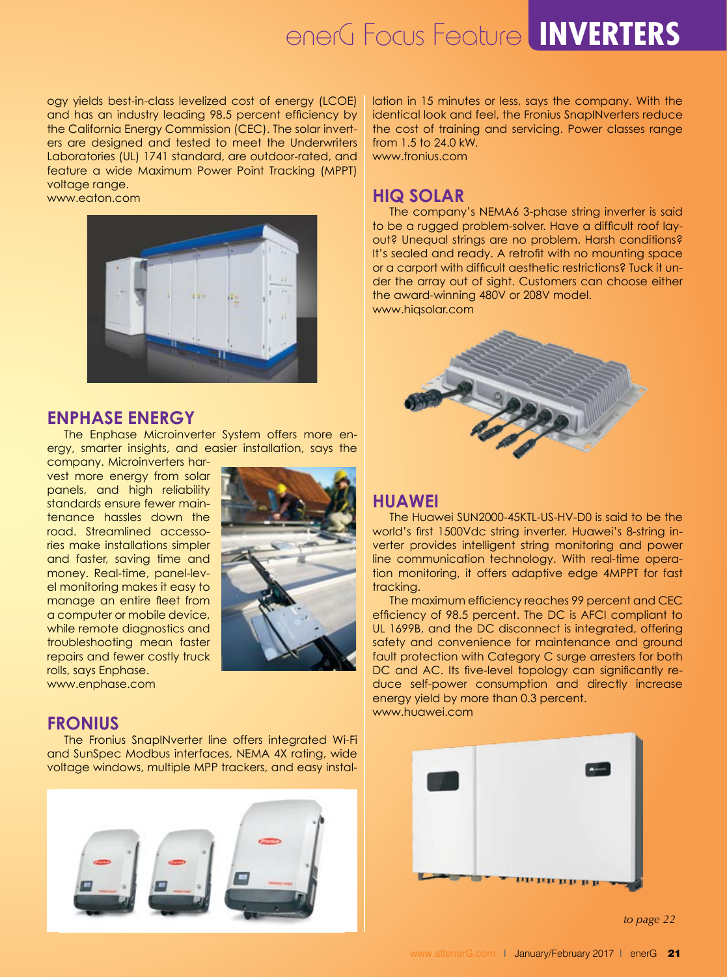# enerG Focus Feature **INVERTERS**

ogy yields best-in-class levelized cost of energy (LCOE) and has an industry leading 98.5 percent efficiency by the California Energy Commission (CEC). The solar inverters are designed and tested to meet the Underwriters Laboratories (UL) 1741 standard, are outdoor-rated, and feature a wide Maximum Power Point Tracking (MPPT) voltage range.

#### www.eaton.com



#### **Enphase Energy**

The Enphase Microinverter System offers more energy, smarter insights, and easier installation, says the

company. Microinverters harvest more energy from solar panels, and high reliability standards ensure fewer maintenance hassles down the road. Streamlined accessories make installations simpler and faster, saving time and money. Real-time, panel-level monitoring makes it easy to manage an entire fleet from a computer or mobile device, while remote diagnostics and troubleshooting mean faster repairs and fewer costly truck rolls, says Enphase. www.enphase.com



#### **Fronius**

The Fronius SnapINverter line offers integrated Wi-Fi and SunSpec Modbus interfaces, NEMA 4X rating, wide voltage windows, multiple MPP trackers, and easy instal-



lation in 15 minutes or less, says the company. With the identical look and feel, the Fronius SnapINverters reduce the cost of training and servicing. Power classes range from 1.5 to 24.0 kW. www.fronius.com

#### **HiQ Solar**

The company's NEMA6 3-phase string inverter is said to be a rugged problem-solver. Have a difficult roof layout? Unequal strings are no problem. Harsh conditions? It's sealed and ready. A retrofit with no mounting space or a carport with difficult aesthetic restrictions? Tuck it under the array out of sight. Customers can choose either the award-winning 480V or 208V model. www.hiqsolar.com



#### **Huawei**

The Huawei SUN2000-45KTL-US-HV-D0 is said to be the world's first 1500Vdc string inverter. Huawei's 8-string inverter provides intelligent string monitoring and power line communication technology. With real-time operation monitoring, it offers adaptive edge 4MPPT for fast tracking.

The maximum efficiency reaches 99 percent and CEC efficiency of 98.5 percent. The DC is AFCI compliant to UL 1699B, and the DC disconnect is integrated, offering safety and convenience for maintenance and ground fault protection with Category C surge arresters for both DC and AC. Its five-level topology can significantly reduce self-power consumption and directly increase energy yield by more than 0.3 percent. www.huawei.com



*to page 22*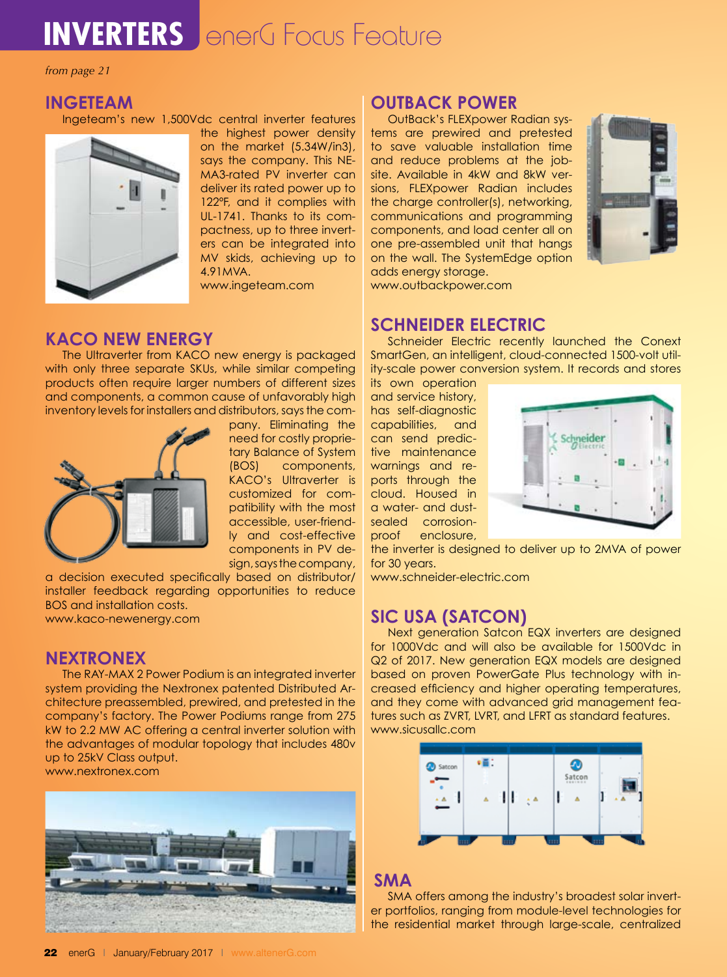# **INVERTERS** enerG Focus Feature

*from page 21*

#### **Ingeteam**

Ingeteam's new 1,500Vdc central inverter features



the highest power density on the market (5.34W/in3), says the company. This NE-MA3-rated PV inverter can deliver its rated power up to 122ºF, and it complies with UL-1741. Thanks to its compactness, up to three inverters can be integrated into MV skids, achieving up to 4.91MVA.

www.ingeteam.com

# **KACO new energy**

The Ultraverter from KACO new energy is packaged with only three separate SKUs, while similar competing products often require larger numbers of different sizes and components, a common cause of unfavorably high inventory levels for installers and distributors, says the com-



pany. Eliminating the need for costly proprietary Balance of System (BOS) components, KACO's Ultraverter is customized for compatibility with the most accessible, user-friendly and cost-effective components in PV design, says the company,

a decision executed specifically based on distributor/ installer feedback regarding opportunities to reduce BOS and installation costs. www.kaco-newenergy.com

### **Nextronex**

The RAY-MAX 2 Power Podium is an integrated inverter system providing the Nextronex patented Distributed Architecture preassembled, prewired, and pretested in the company's factory. The Power Podiums range from 275 kW to 2.2 MW AC offering a central inverter solution with the advantages of modular topology that includes 480v up to 25kV Class output.

www.nextronex.com



# **OutBack Power**

OutBack's FLEXpower Radian systems are prewired and pretested to save valuable installation time and reduce problems at the jobsite. Available in 4kW and 8kW versions, FLEXpower Radian includes the charge controller(s), networking, communications and programming components, and load center all on one pre-assembled unit that hangs on the wall. The SystemEdge option adds energy storage.



www.outbackpower.com

### **Schneider Electric**

Schneider Electric recently launched the Conext SmartGen, an intelligent, cloud-connected 1500-volt utility-scale power conversion system. It records and stores

its own operation and service history, has self-diagnostic capabilities, and can send predictive maintenance warnings and reports through the cloud. Housed in a water- and dustsealed corrosionproof enclosure,



the inverter is designed to deliver up to 2MVA of power for 30 years.

www.schneider-electric.com

# **SIC USA (Satcon)**

Next generation Satcon EQX inverters are designed for 1000Vdc and will also be available for 1500Vdc in Q2 of 2017. New generation EQX models are designed based on proven PowerGate Plus technology with increased efficiency and higher operating temperatures, and they come with advanced grid management features such as ZVRT, LVRT, and LFRT as standard features. www.sicusallc.com



#### **SMA**

SMA offers among the industry's broadest solar inverter portfolios, ranging from module-level technologies for the residential market through large-scale, centralized